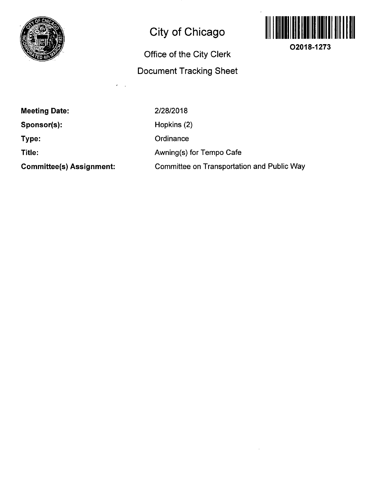

# **City of Chicago**

## **Office of the City Clerk Docunnent Tracking Sheet**



**O2018-1273** 

**Meeting Date:** 

**Sponsor(s):** 

**Type:** 

**Title:** 

**Committee(s) Assignment:** 

2/28/2018 Hopkins (2) **Ordinance** Awning(s) for Tempo Cafe Committee on Transportation and Public Way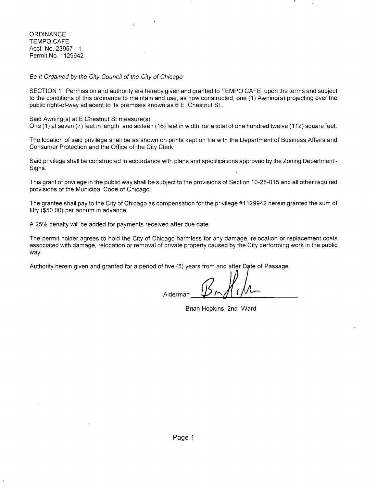**ORDINANCE** TEMPO CAFE Acct. No. 23957 - 1 Permit No. 1129942

Be It Ordained by the City Council of the City of Chicago'

SECTION 1 Permission and authority are hereby given and granted to TEMPO CAFE, upon the terms and subject to the conditions of this ordinance to maintain and use, as now constructed, one (1) Awning(s) projecting over the public right-of-way adjacent to its premises known as 6 E. Chestnut St..

Said Awning(s) at E Chestnut St measure(s):

One (1) at seven (7) feet in length, and sixteen (16) feet in width for a total of one hundred twelve (112) square feet.

The location of said privilege shall be as shown on prints kept on file with the Department of Business Affairs and Consumer Protection and the Office of the City Clerk.

Said privilege shall be constructed in accordance with plans and specifications approved by the Zoning Department - Signs.

This grant of privilege in the public way shall be subject to the provisions of Section 10-28-015 and all other required provisions of the Municipal Code of Chicago.

The grantee shall pay to the City of Chicago as compensation for the privilege #1129942 herein granted the sum of fifty (\$50.00) per annum in advance

A 25% penalty will be added for payments received after due date.

The permit holder agrees to hold the City of Chicago harmless for any damage, relocation or replacement costs associated with damage, relocation or removal of private property caused by the City performing work in the public way.

Authority herein given and granted for a period of five (5) years from and after Date of Passage.

Alderman

Brian Hopkins 2nd Ward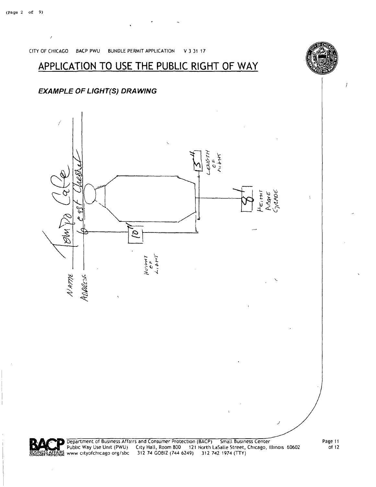

Public Way Use Unit (PWU) City Hall, Room 800 121 North LaSalle Street, Chicago, Illinois 60602

www cityofchicago org/sbc 312 74 GOBIZ (744 6249) 312 742 1974 (TTY)

### **EXAMPLE OF LIGHT(S) DRAWING**

### **APPLICATION TO USE THE PUBLIC RIGHT OF WAY**

CITY OF CHICAGO BACP PWU BUNDLE PERMIT APPLICATION V 3 31 17

**CONSUME** 



 $\frac{1}{2}$